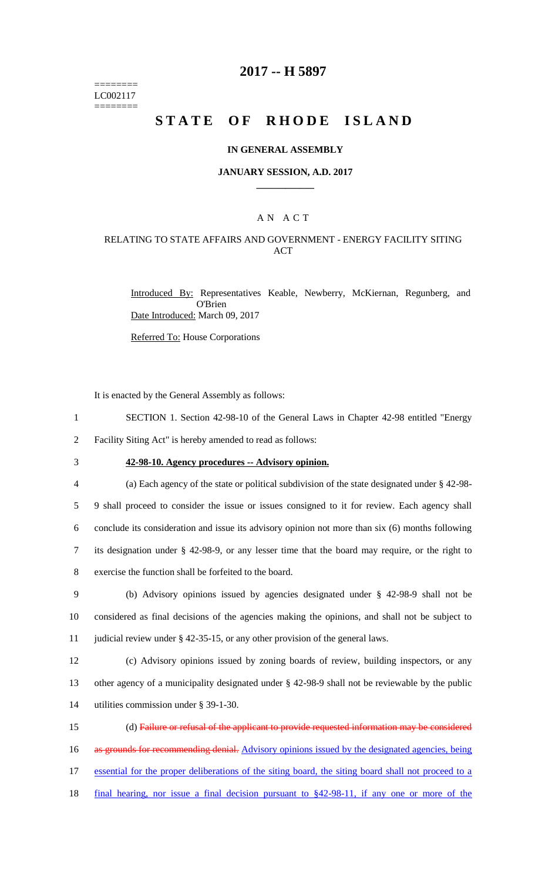======== LC002117 ========

### **2017 -- H 5897**

# **STATE OF RHODE ISLAND**

#### **IN GENERAL ASSEMBLY**

#### **JANUARY SESSION, A.D. 2017 \_\_\_\_\_\_\_\_\_\_\_\_**

### A N A C T

### RELATING TO STATE AFFAIRS AND GOVERNMENT - ENERGY FACILITY SITING ACT

Introduced By: Representatives Keable, Newberry, McKiernan, Regunberg, and O'Brien Date Introduced: March 09, 2017

Referred To: House Corporations

It is enacted by the General Assembly as follows:

1 SECTION 1. Section 42-98-10 of the General Laws in Chapter 42-98 entitled "Energy

2 Facility Siting Act" is hereby amended to read as follows:

3 **42-98-10. Agency procedures -- Advisory opinion.**

 (a) Each agency of the state or political subdivision of the state designated under § 42-98- 9 shall proceed to consider the issue or issues consigned to it for review. Each agency shall conclude its consideration and issue its advisory opinion not more than six (6) months following its designation under § 42-98-9, or any lesser time that the board may require, or the right to exercise the function shall be forfeited to the board.

9 (b) Advisory opinions issued by agencies designated under § 42-98-9 shall not be 10 considered as final decisions of the agencies making the opinions, and shall not be subject to 11 judicial review under § 42-35-15, or any other provision of the general laws.

12 (c) Advisory opinions issued by zoning boards of review, building inspectors, or any 13 other agency of a municipality designated under § 42-98-9 shall not be reviewable by the public 14 utilities commission under § 39-1-30.

 (d) Failure or refusal of the applicant to provide requested information may be considered 16 as grounds for recommending denial. Advisory opinions issued by the designated agencies, being essential for the proper deliberations of the siting board, the siting board shall not proceed to a final hearing, nor issue a final decision pursuant to §42-98-11, if any one or more of the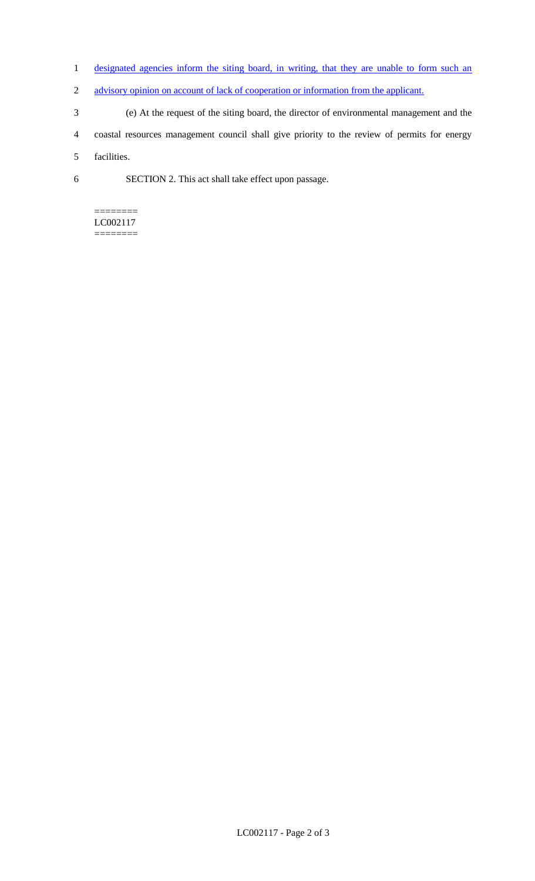- 1 designated agencies inform the siting board, in writing, that they are unable to form such an
- 2 advisory opinion on account of lack of cooperation or information from the applicant.
- 3 (e) At the request of the siting board, the director of environmental management and the
- 4 coastal resources management council shall give priority to the review of permits for energy

5 facilities.

6 SECTION 2. This act shall take effect upon passage.

#### ======== LC002117 ========